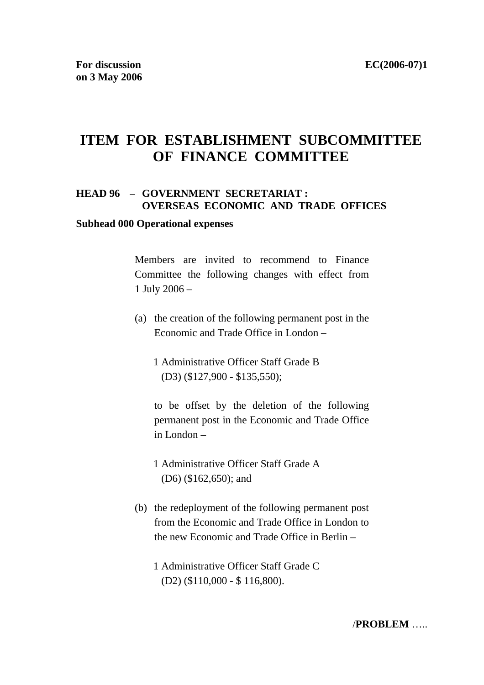# **ITEM FOR ESTABLISHMENT SUBCOMMITTEE OF FINANCE COMMITTEE**

# **HEAD 96** – **GOVERNMENT SECRETARIAT : OVERSEAS ECONOMIC AND TRADE OFFICES**

#### **Subhead 000 Operational expenses**

Members are invited to recommend to Finance Committee the following changes with effect from 1 July 2006 –

- (a) the creation of the following permanent post in the Economic and Trade Office in London –
	- 1 Administrative Officer Staff Grade B (D3) (\$127,900 - \$135,550);

 to be offset by the deletion of the following permanent post in the Economic and Trade Office in London –

- 1 Administrative Officer Staff Grade A (D6) (\$162,650); and
- (b) the redeployment of the following permanent post from the Economic and Trade Office in London to the new Economic and Trade Office in Berlin –
	- 1 Administrative Officer Staff Grade C (D2) (\$110,000 - \$ 116,800).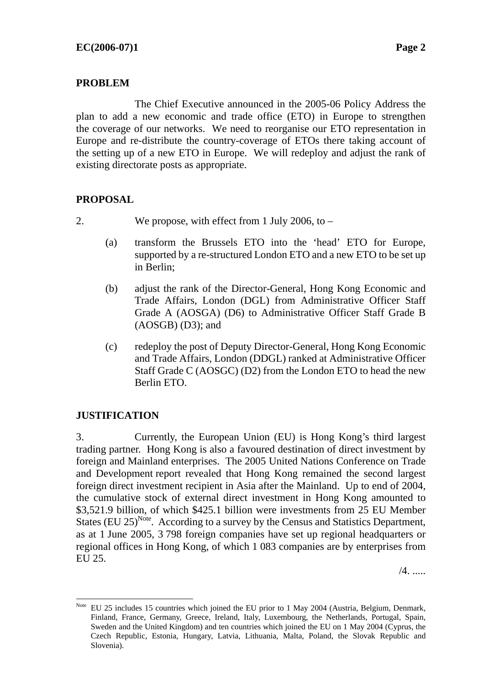# **PROBLEM**

 The Chief Executive announced in the 2005-06 Policy Address the plan to add a new economic and trade office (ETO) in Europe to strengthen the coverage of our networks. We need to reorganise our ETO representation in Europe and re-distribute the country-coverage of ETOs there taking account of the setting up of a new ETO in Europe. We will redeploy and adjust the rank of existing directorate posts as appropriate.

# **PROPOSAL**

- 
- 2. We propose, with effect from 1 July 2006, to
	- (a) transform the Brussels ETO into the 'head' ETO for Europe, supported by a re-structured London ETO and a new ETO to be set up in Berlin;
	- (b) adjust the rank of the Director-General, Hong Kong Economic and Trade Affairs, London (DGL) from Administrative Officer Staff Grade A (AOSGA) (D6) to Administrative Officer Staff Grade B (AOSGB) (D3); and
	- (c) redeploy the post of Deputy Director-General, Hong Kong Economic and Trade Affairs, London (DDGL) ranked at Administrative Officer Staff Grade C (AOSGC) (D2) from the London ETO to head the new Berlin ETO.

# **JUSTIFICATION**

 $\overline{a}$ 

3. Currently, the European Union (EU) is Hong Kong's third largest trading partner. Hong Kong is also a favoured destination of direct investment by foreign and Mainland enterprises. The 2005 United Nations Conference on Trade and Development report revealed that Hong Kong remained the second largest foreign direct investment recipient in Asia after the Mainland. Up to end of 2004, the cumulative stock of external direct investment in Hong Kong amounted to \$3,521.9 billion, of which \$425.1 billion were investments from 25 EU Member States (EU 25)<sup>Note</sup>. According to a survey by the Census and Statistics Department, as at 1 June 2005, 3 798 foreign companies have set up regional headquarters or regional offices in Hong Kong, of which 1 083 companies are by enterprises from EU 25.

/4. .....

Note EU 25 includes 15 countries which joined the EU prior to 1 May 2004 (Austria, Belgium, Denmark, Finland, France, Germany, Greece, Ireland, Italy, Luxembourg, the Netherlands, Portugal, Spain, Sweden and the United Kingdom) and ten countries which joined the EU on 1 May 2004 (Cyprus, the Czech Republic, Estonia, Hungary, Latvia, Lithuania, Malta, Poland, the Slovak Republic and Slovenia).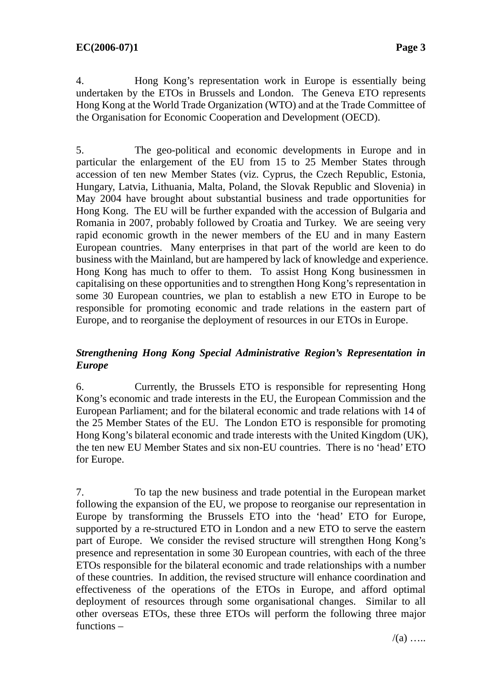4. Hong Kong's representation work in Europe is essentially being undertaken by the ETOs in Brussels and London. The Geneva ETO represents Hong Kong at the World Trade Organization (WTO) and at the Trade Committee of the Organisation for Economic Cooperation and Development (OECD).

5. The geo-political and economic developments in Europe and in particular the enlargement of the EU from 15 to 25 Member States through accession of ten new Member States (viz. Cyprus, the Czech Republic, Estonia, Hungary, Latvia, Lithuania, Malta, Poland, the Slovak Republic and Slovenia) in May 2004 have brought about substantial business and trade opportunities for Hong Kong. The EU will be further expanded with the accession of Bulgaria and Romania in 2007, probably followed by Croatia and Turkey. We are seeing very rapid economic growth in the newer members of the EU and in many Eastern European countries. Many enterprises in that part of the world are keen to do business with the Mainland, but are hampered by lack of knowledge and experience. Hong Kong has much to offer to them. To assist Hong Kong businessmen in capitalising on these opportunities and to strengthen Hong Kong's representation in some 30 European countries, we plan to establish a new ETO in Europe to be responsible for promoting economic and trade relations in the eastern part of Europe, and to reorganise the deployment of resources in our ETOs in Europe.

# *Strengthening Hong Kong Special Administrative Region's Representation in Europe*

6. Currently, the Brussels ETO is responsible for representing Hong Kong's economic and trade interests in the EU, the European Commission and the European Parliament; and for the bilateral economic and trade relations with 14 of the 25 Member States of the EU. The London ETO is responsible for promoting Hong Kong's bilateral economic and trade interests with the United Kingdom (UK), the ten new EU Member States and six non-EU countries. There is no 'head' ETO for Europe.

7. To tap the new business and trade potential in the European market following the expansion of the EU, we propose to reorganise our representation in Europe by transforming the Brussels ETO into the 'head' ETO for Europe, supported by a re-structured ETO in London and a new ETO to serve the eastern part of Europe. We consider the revised structure will strengthen Hong Kong's presence and representation in some 30 European countries, with each of the three ETOs responsible for the bilateral economic and trade relationships with a number of these countries. In addition, the revised structure will enhance coordination and effectiveness of the operations of the ETOs in Europe, and afford optimal deployment of resources through some organisational changes. Similar to all other overseas ETOs, these three ETOs will perform the following three major functions –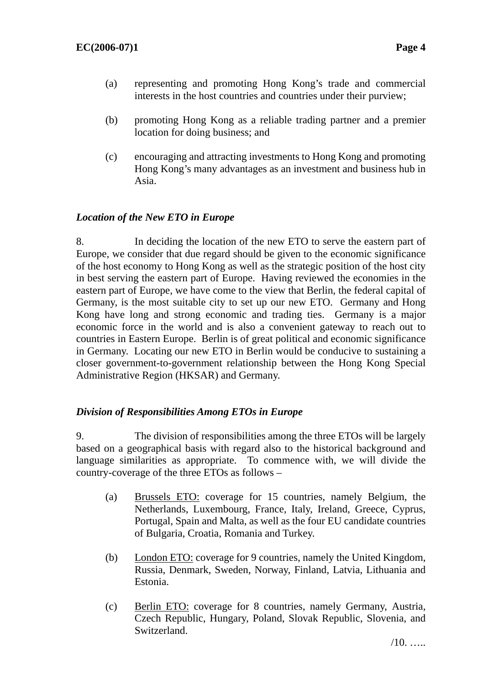- (a) representing and promoting Hong Kong's trade and commercial interests in the host countries and countries under their purview;
- (b) promoting Hong Kong as a reliable trading partner and a premier location for doing business; and
- (c) encouraging and attracting investments to Hong Kong and promoting Hong Kong's many advantages as an investment and business hub in Asia.

# *Location of the New ETO in Europe*

8. In deciding the location of the new ETO to serve the eastern part of Europe, we consider that due regard should be given to the economic significance of the host economy to Hong Kong as well as the strategic position of the host city in best serving the eastern part of Europe. Having reviewed the economies in the eastern part of Europe, we have come to the view that Berlin, the federal capital of Germany, is the most suitable city to set up our new ETO. Germany and Hong Kong have long and strong economic and trading ties. Germany is a major economic force in the world and is also a convenient gateway to reach out to countries in Eastern Europe. Berlin is of great political and economic significance in Germany. Locating our new ETO in Berlin would be conducive to sustaining a closer government-to-government relationship between the Hong Kong Special Administrative Region (HKSAR) and Germany.

## *Division of Responsibilities Among ETOs in Europe*

9. The division of responsibilities among the three ETOs will be largely based on a geographical basis with regard also to the historical background and language similarities as appropriate. To commence with, we will divide the country-coverage of the three ETOs as follows –

- (a) Brussels ETO: coverage for 15 countries, namely Belgium, the Netherlands, Luxembourg, France, Italy, Ireland, Greece, Cyprus, Portugal, Spain and Malta, as well as the four EU candidate countries of Bulgaria, Croatia, Romania and Turkey.
- (b) London ETO: coverage for 9 countries, namely the United Kingdom, Russia, Denmark, Sweden, Norway, Finland, Latvia, Lithuania and Estonia.
- (c) Berlin ETO: coverage for 8 countries, namely Germany, Austria, Czech Republic, Hungary, Poland, Slovak Republic, Slovenia, and Switzerland.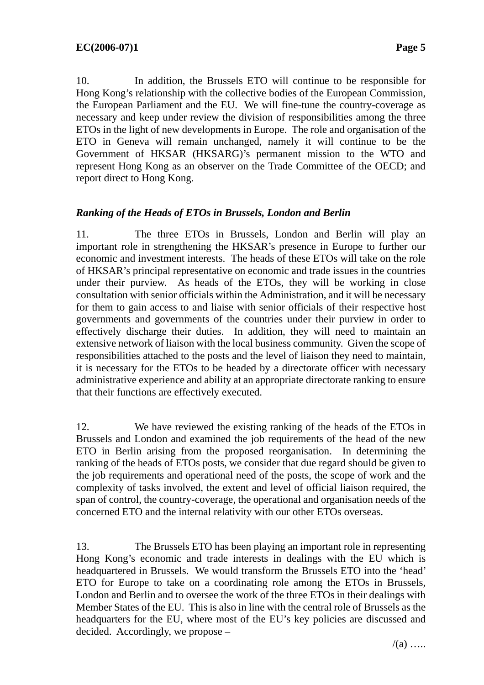10. In addition, the Brussels ETO will continue to be responsible for Hong Kong's relationship with the collective bodies of the European Commission, the European Parliament and the EU. We will fine-tune the country-coverage as necessary and keep under review the division of responsibilities among the three ETOs in the light of new developments in Europe. The role and organisation of the ETO in Geneva will remain unchanged, namely it will continue to be the Government of HKSAR (HKSARG)'s permanent mission to the WTO and represent Hong Kong as an observer on the Trade Committee of the OECD; and report direct to Hong Kong.

# *Ranking of the Heads of ETOs in Brussels, London and Berlin*

11. The three ETOs in Brussels, London and Berlin will play an important role in strengthening the HKSAR's presence in Europe to further our economic and investment interests. The heads of these ETOs will take on the role of HKSAR's principal representative on economic and trade issues in the countries under their purview. As heads of the ETOs, they will be working in close consultation with senior officials within the Administration, and it will be necessary for them to gain access to and liaise with senior officials of their respective host governments and governments of the countries under their purview in order to effectively discharge their duties. In addition, they will need to maintain an extensive network of liaison with the local business community. Given the scope of responsibilities attached to the posts and the level of liaison they need to maintain, it is necessary for the ETOs to be headed by a directorate officer with necessary administrative experience and ability at an appropriate directorate ranking to ensure that their functions are effectively executed.

12. We have reviewed the existing ranking of the heads of the ETOs in Brussels and London and examined the job requirements of the head of the new ETO in Berlin arising from the proposed reorganisation. In determining the ranking of the heads of ETOs posts, we consider that due regard should be given to the job requirements and operational need of the posts, the scope of work and the complexity of tasks involved, the extent and level of official liaison required, the span of control, the country-coverage, the operational and organisation needs of the concerned ETO and the internal relativity with our other ETOs overseas.

13. The Brussels ETO has been playing an important role in representing Hong Kong's economic and trade interests in dealings with the EU which is headquartered in Brussels. We would transform the Brussels ETO into the 'head' ETO for Europe to take on a coordinating role among the ETOs in Brussels, London and Berlin and to oversee the work of the three ETOs in their dealings with Member States of the EU. This is also in line with the central role of Brussels as the headquarters for the EU, where most of the EU's key policies are discussed and decided. Accordingly, we propose –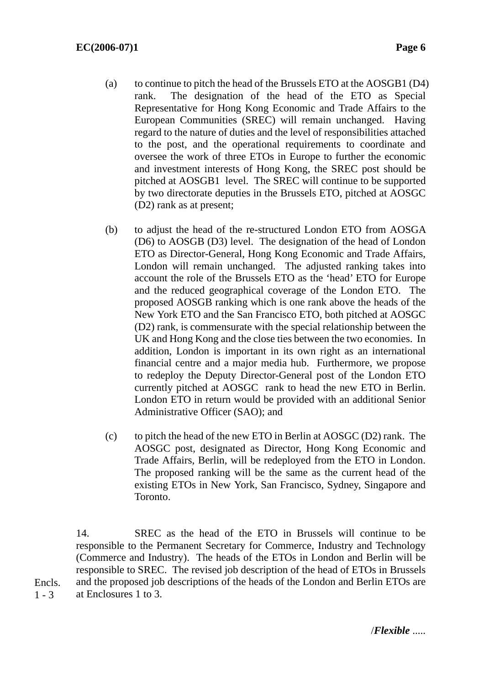- (a) to continue to pitch the head of the Brussels ETO at the AOSGB1 (D4) rank. The designation of the head of the ETO as Special Representative for Hong Kong Economic and Trade Affairs to the European Communities (SREC) will remain unchanged. Having regard to the nature of duties and the level of responsibilities attached to the post, and the operational requirements to coordinate and oversee the work of three ETOs in Europe to further the economic and investment interests of Hong Kong, the SREC post should be pitched at AOSGB1 level. The SREC will continue to be supported by two directorate deputies in the Brussels ETO, pitched at AOSGC (D2) rank as at present;
- (b) to adjust the head of the re-structured London ETO from AOSGA (D6) to AOSGB (D3) level. The designation of the head of London ETO as Director-General, Hong Kong Economic and Trade Affairs, London will remain unchanged. The adjusted ranking takes into account the role of the Brussels ETO as the 'head' ETO for Europe and the reduced geographical coverage of the London ETO. The proposed AOSGB ranking which is one rank above the heads of the New York ETO and the San Francisco ETO, both pitched at AOSGC (D2) rank, is commensurate with the special relationship between the UK and Hong Kong and the close ties between the two economies. In addition, London is important in its own right as an international financial centre and a major media hub. Furthermore, we propose to redeploy the Deputy Director-General post of the London ETO currently pitched at AOSGC rank to head the new ETO in Berlin. London ETO in return would be provided with an additional Senior Administrative Officer (SAO); and
- (c) to pitch the head of the new ETO in Berlin at AOSGC (D2) rank. The AOSGC post, designated as Director, Hong Kong Economic and Trade Affairs, Berlin, will be redeployed from the ETO in London. The proposed ranking will be the same as the current head of the existing ETOs in New York, San Francisco, Sydney, Singapore and Toronto.

14. SREC as the head of the ETO in Brussels will continue to be responsible to the Permanent Secretary for Commerce, Industry and Technology (Commerce and Industry). The heads of the ETOs in London and Berlin will be responsible to SREC. The revised job description of the head of ETOs in Brussels and the proposed job descriptions of the heads of the London and Berlin ETOs are at Enclosures 1 to 3. Encls.  $1 - 3$ 

/*Flexible* .....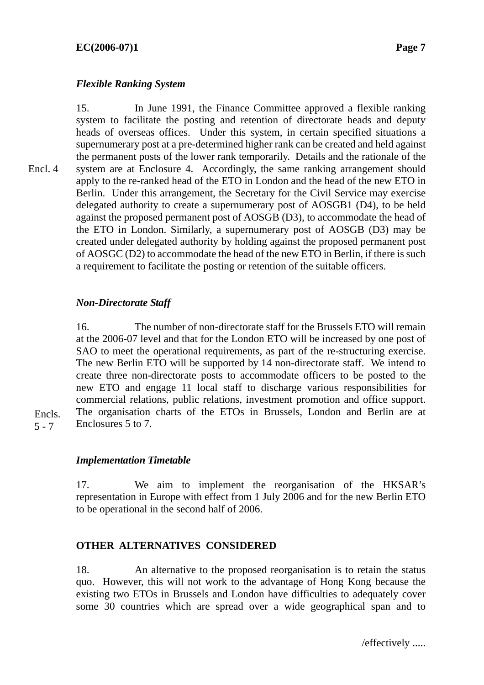## *Flexible Ranking System*

15. In June 1991, the Finance Committee approved a flexible ranking system to facilitate the posting and retention of directorate heads and deputy heads of overseas offices. Under this system, in certain specified situations a supernumerary post at a pre-determined higher rank can be created and held against the permanent posts of the lower rank temporarily. Details and the rationale of the system are at Enclosure 4. Accordingly, the same ranking arrangement should apply to the re-ranked head of the ETO in London and the head of the new ETO in Berlin. Under this arrangement, the Secretary for the Civil Service may exercise delegated authority to create a supernumerary post of AOSGB1 (D4), to be held against the proposed permanent post of AOSGB (D3), to accommodate the head of the ETO in London. Similarly, a supernumerary post of AOSGB (D3) may be created under delegated authority by holding against the proposed permanent post of AOSGC (D2) to accommodate the head of the new ETO in Berlin, if there is such a requirement to facilitate the posting or retention of the suitable officers. Encl. 4

## *Non-Directorate Staff*

16. The number of non-directorate staff for the Brussels ETO will remain at the 2006-07 level and that for the London ETO will be increased by one post of SAO to meet the operational requirements, as part of the re-structuring exercise. The new Berlin ETO will be supported by 14 non-directorate staff. We intend to create three non-directorate posts to accommodate officers to be posted to the new ETO and engage 11 local staff to discharge various responsibilities for commercial relations, public relations, investment promotion and office support. The organisation charts of the ETOs in Brussels, London and Berlin are at Enclosures 5 to 7.

Encls.  $5 - 7$ 

## *Implementation Timetable*

17. We aim to implement the reorganisation of the HKSAR's representation in Europe with effect from 1 July 2006 and for the new Berlin ETO to be operational in the second half of 2006.

# **OTHER ALTERNATIVES CONSIDERED**

18. An alternative to the proposed reorganisation is to retain the status quo. However, this will not work to the advantage of Hong Kong because the existing two ETOs in Brussels and London have difficulties to adequately cover some 30 countries which are spread over a wide geographical span and to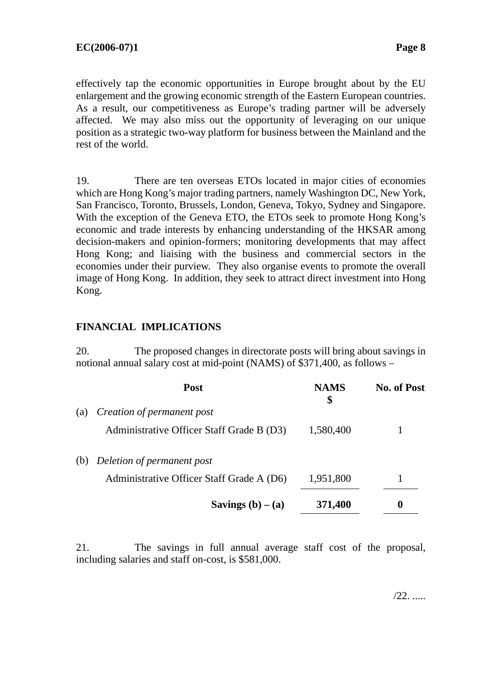effectively tap the economic opportunities in Europe brought about by the EU enlargement and the growing economic strength of the Eastern European countries. As a result, our competitiveness as Europe's trading partner will be adversely affected. We may also miss out the opportunity of leveraging on our unique position as a strategic two-way platform for business between the Mainland and the rest of the world.

19. There are ten overseas ETOs located in major cities of economies which are Hong Kong's major trading partners, namely Washington DC, New York, San Francisco, Toronto, Brussels, London, Geneva, Tokyo, Sydney and Singapore. With the exception of the Geneva ETO, the ETOs seek to promote Hong Kong's economic and trade interests by enhancing understanding of the HKSAR among decision-makers and opinion-formers; monitoring developments that may affect Hong Kong; and liaising with the business and commercial sectors in the economies under their purview. They also organise events to promote the overall image of Hong Kong. In addition, they seek to attract direct investment into Hong Kong.

# **FINANCIAL IMPLICATIONS**

20. The proposed changes in directorate posts will bring about savings in notional annual salary cost at mid-point (NAMS) of \$371,400, as follows –

|     | <b>Post</b>                               | <b>NAMS</b><br>\$ | <b>No. of Post</b> |
|-----|-------------------------------------------|-------------------|--------------------|
| (a) | Creation of permanent post                |                   |                    |
|     | Administrative Officer Staff Grade B (D3) | 1,580,400         |                    |
| (b) | Deletion of permanent post                |                   |                    |
|     | Administrative Officer Staff Grade A (D6) | 1,951,800         |                    |
|     | Savings $(b) - (a)$                       | 371,400           | 0                  |

21. The savings in full annual average staff cost of the proposal, including salaries and staff on-cost, is \$581,000.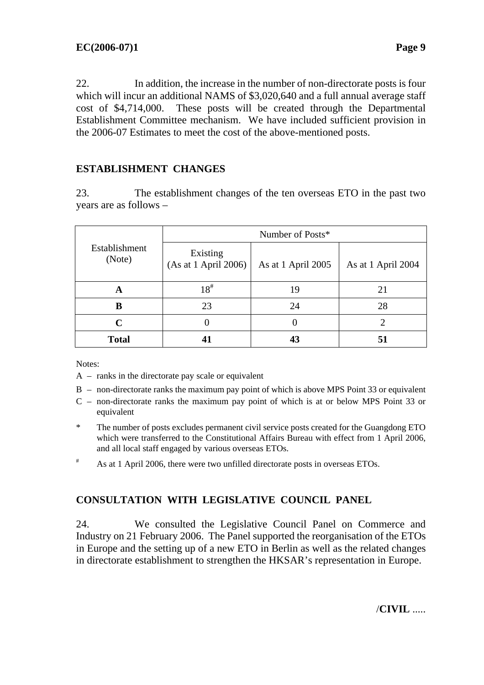22. In addition, the increase in the number of non-directorate posts is four which will incur an additional NAMS of \$3,020,640 and a full annual average staff cost of \$4,714,000. These posts will be created through the Departmental Establishment Committee mechanism. We have included sufficient provision in the 2006-07 Estimates to meet the cost of the above-mentioned posts.

# **ESTABLISHMENT CHANGES**

23. The establishment changes of the ten overseas ETO in the past two years are as follows –

|                         | Number of Posts*                 |                    |                    |  |  |
|-------------------------|----------------------------------|--------------------|--------------------|--|--|
| Establishment<br>(Note) | Existing<br>(As at 1 April 2006) | As at 1 April 2005 | As at 1 April 2004 |  |  |
| A                       | $18^{#}$                         | 19                 | 21                 |  |  |
| B                       | 23                               | 24                 | 28                 |  |  |
| C                       |                                  | $\left( \right)$   |                    |  |  |
| <b>Total</b>            | 41                               | 43                 | 51                 |  |  |

Notes:

A – ranks in the directorate pay scale or equivalent

- B non-directorate ranks the maximum pay point of which is above MPS Point 33 or equivalent
- C non-directorate ranks the maximum pay point of which is at or below MPS Point 33 or equivalent
- \* The number of posts excludes permanent civil service posts created for the Guangdong ETO which were transferred to the Constitutional Affairs Bureau with effect from 1 April 2006, and all local staff engaged by various overseas ETOs.
- <sup>#</sup> As at 1 April 2006, there were two unfilled directorate posts in overseas ETOs.

# **CONSULTATION WITH LEGISLATIVE COUNCIL PANEL**

24. We consulted the Legislative Council Panel on Commerce and Industry on 21 February 2006. The Panel supported the reorganisation of the ETOs in Europe and the setting up of a new ETO in Berlin as well as the related changes in directorate establishment to strengthen the HKSAR's representation in Europe.

/**CIVIL** .....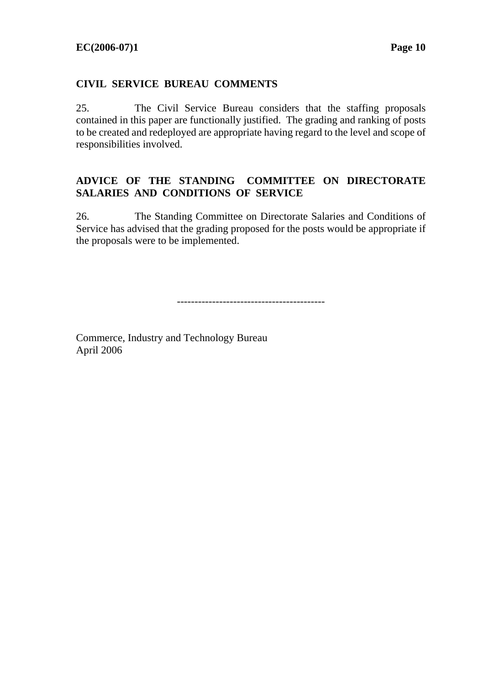# **CIVIL SERVICE BUREAU COMMENTS**

25. The Civil Service Bureau considers that the staffing proposals contained in this paper are functionally justified. The grading and ranking of posts to be created and redeployed are appropriate having regard to the level and scope of responsibilities involved.

# **ADVICE OF THE STANDING COMMITTEE ON DIRECTORATE SALARIES AND CONDITIONS OF SERVICE**

26. The Standing Committee on Directorate Salaries and Conditions of Service has advised that the grading proposed for the posts would be appropriate if the proposals were to be implemented.

------------------------------------------

Commerce, Industry and Technology Bureau April 2006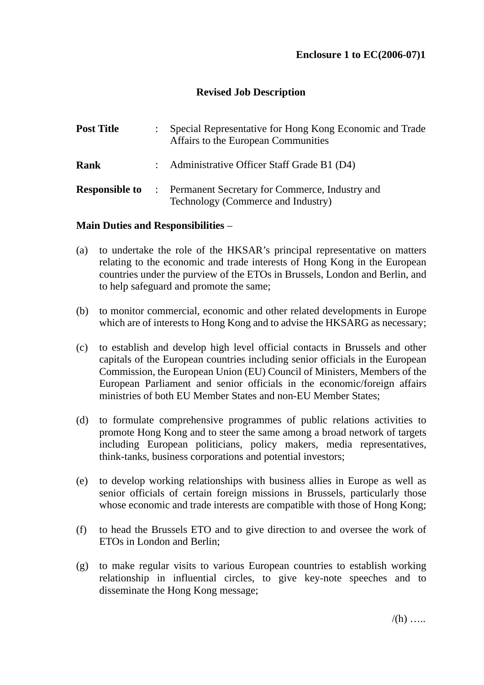## **Revised Job Description**

| <b>Post Title</b> | Special Representative for Hong Kong Economic and Trade<br>Affairs to the European Communities               |
|-------------------|--------------------------------------------------------------------------------------------------------------|
| Rank              | : Administrative Officer Staff Grade B1 (D4)                                                                 |
|                   | <b>Responsible to</b> : Permanent Secretary for Commerce, Industry and<br>Technology (Commerce and Industry) |

#### **Main Duties and Responsibilities** –

- (a) to undertake the role of the HKSAR's principal representative on matters relating to the economic and trade interests of Hong Kong in the European countries under the purview of the ETOs in Brussels, London and Berlin, and to help safeguard and promote the same;
- (b) to monitor commercial, economic and other related developments in Europe which are of interests to Hong Kong and to advise the HKSARG as necessary;
- (c) to establish and develop high level official contacts in Brussels and other capitals of the European countries including senior officials in the European Commission, the European Union (EU) Council of Ministers, Members of the European Parliament and senior officials in the economic/foreign affairs ministries of both EU Member States and non-EU Member States;
- (d) to formulate comprehensive programmes of public relations activities to promote Hong Kong and to steer the same among a broad network of targets including European politicians, policy makers, media representatives, think-tanks, business corporations and potential investors;
- (e) to develop working relationships with business allies in Europe as well as senior officials of certain foreign missions in Brussels, particularly those whose economic and trade interests are compatible with those of Hong Kong;
- (f) to head the Brussels ETO and to give direction to and oversee the work of ETOs in London and Berlin;
- (g) to make regular visits to various European countries to establish working relationship in influential circles, to give key-note speeches and to disseminate the Hong Kong message;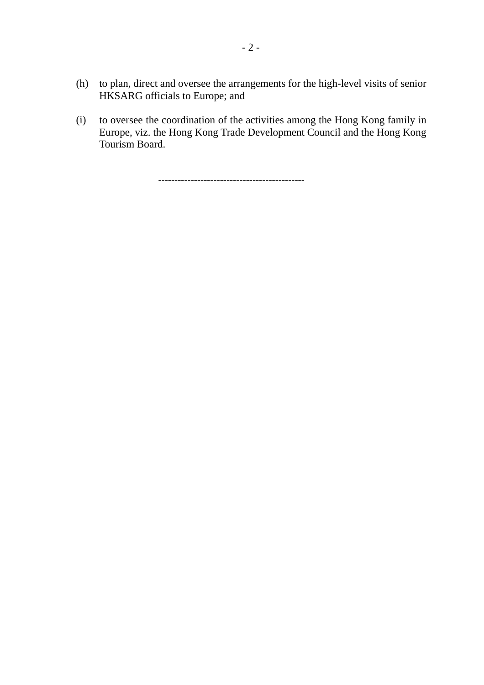- (h) to plan, direct and oversee the arrangements for the high-level visits of senior HKSARG officials to Europe; and
- (i) to oversee the coordination of the activities among the Hong Kong family in Europe, viz. the Hong Kong Trade Development Council and the Hong Kong Tourism Board.

---------------------------------------------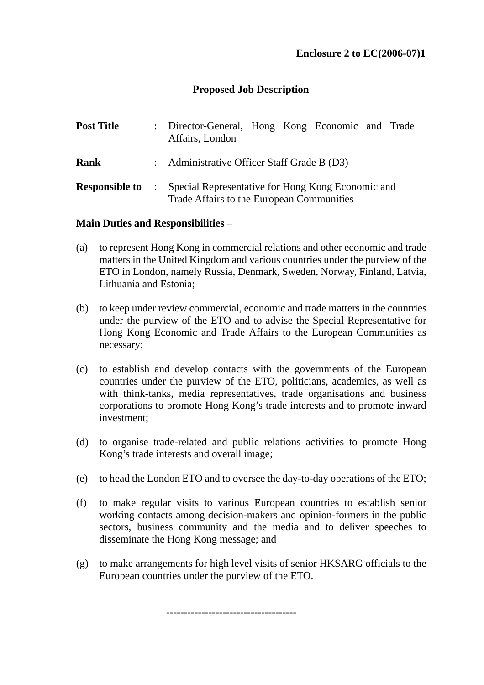# **Proposed Job Description**

| <b>Post Title</b> | : Director-General, Hong Kong Economic and Trade<br>Affairs, London                                                    |  |  |  |  |  |
|-------------------|------------------------------------------------------------------------------------------------------------------------|--|--|--|--|--|
| Rank              | : Administrative Officer Staff Grade B (D3)                                                                            |  |  |  |  |  |
|                   | <b>Responsible to</b> : Special Representative for Hong Kong Economic and<br>Trade Affairs to the European Communities |  |  |  |  |  |

#### **Main Duties and Responsibilities** –

- (a) to represent Hong Kong in commercial relations and other economic and trade matters in the United Kingdom and various countries under the purview of the ETO in London, namely Russia, Denmark, Sweden, Norway, Finland, Latvia, Lithuania and Estonia;
- (b) to keep under review commercial, economic and trade matters in the countries under the purview of the ETO and to advise the Special Representative for Hong Kong Economic and Trade Affairs to the European Communities as necessary;
- (c) to establish and develop contacts with the governments of the European countries under the purview of the ETO, politicians, academics, as well as with think-tanks, media representatives, trade organisations and business corporations to promote Hong Kong's trade interests and to promote inward investment;
- (d) to organise trade-related and public relations activities to promote Hong Kong's trade interests and overall image;
- (e) to head the London ETO and to oversee the day-to-day operations of the ETO;
- (f) to make regular visits to various European countries to establish senior working contacts among decision-makers and opinion-formers in the public sectors, business community and the media and to deliver speeches to disseminate the Hong Kong message; and
- (g) to make arrangements for high level visits of senior HKSARG officials to the European countries under the purview of the ETO.

-------------------------------------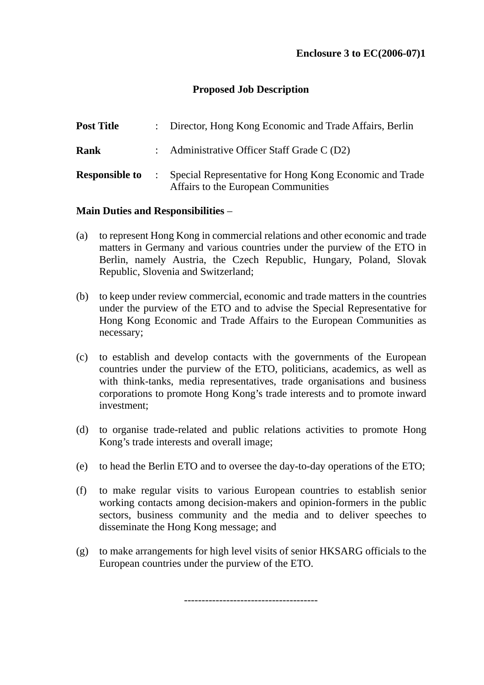# **Proposed Job Description**

| <b>Post Title</b>     |                | : Director, Hong Kong Economic and Trade Affairs, Berlin                                       |
|-----------------------|----------------|------------------------------------------------------------------------------------------------|
| Rank                  |                | : Administrative Officer Staff Grade C (D2)                                                    |
| <b>Responsible to</b> | $\mathbb{R}^n$ | Special Representative for Hong Kong Economic and Trade<br>Affairs to the European Communities |

## **Main Duties and Responsibilities** –

- (a) to represent Hong Kong in commercial relations and other economic and trade matters in Germany and various countries under the purview of the ETO in Berlin, namely Austria, the Czech Republic, Hungary, Poland, Slovak Republic, Slovenia and Switzerland;
- (b) to keep under review commercial, economic and trade matters in the countries under the purview of the ETO and to advise the Special Representative for Hong Kong Economic and Trade Affairs to the European Communities as necessary;
- (c) to establish and develop contacts with the governments of the European countries under the purview of the ETO, politicians, academics, as well as with think-tanks, media representatives, trade organisations and business corporations to promote Hong Kong's trade interests and to promote inward investment;
- (d) to organise trade-related and public relations activities to promote Hong Kong's trade interests and overall image;
- (e) to head the Berlin ETO and to oversee the day-to-day operations of the ETO;
- (f) to make regular visits to various European countries to establish senior working contacts among decision-makers and opinion-formers in the public sectors, business community and the media and to deliver speeches to disseminate the Hong Kong message; and
- (g) to make arrangements for high level visits of senior HKSARG officials to the European countries under the purview of the ETO.

--------------------------------------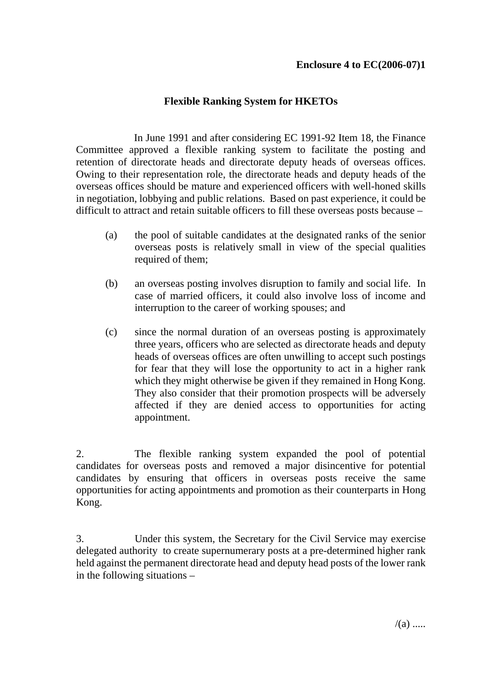# **Flexible Ranking System for HKETOs**

 In June 1991 and after considering EC 1991-92 Item 18, the Finance Committee approved a flexible ranking system to facilitate the posting and retention of directorate heads and directorate deputy heads of overseas offices. Owing to their representation role, the directorate heads and deputy heads of the overseas offices should be mature and experienced officers with well-honed skills in negotiation, lobbying and public relations. Based on past experience, it could be difficult to attract and retain suitable officers to fill these overseas posts because –

- (a) the pool of suitable candidates at the designated ranks of the senior overseas posts is relatively small in view of the special qualities required of them;
- (b) an overseas posting involves disruption to family and social life. In case of married officers, it could also involve loss of income and interruption to the career of working spouses; and
- (c) since the normal duration of an overseas posting is approximately three years, officers who are selected as directorate heads and deputy heads of overseas offices are often unwilling to accept such postings for fear that they will lose the opportunity to act in a higher rank which they might otherwise be given if they remained in Hong Kong. They also consider that their promotion prospects will be adversely affected if they are denied access to opportunities for acting appointment.

2. The flexible ranking system expanded the pool of potential candidates for overseas posts and removed a major disincentive for potential candidates by ensuring that officers in overseas posts receive the same opportunities for acting appointments and promotion as their counterparts in Hong Kong.

3. Under this system, the Secretary for the Civil Service may exercise delegated authority to create supernumerary posts at a pre-determined higher rank held against the permanent directorate head and deputy head posts of the lower rank in the following situations –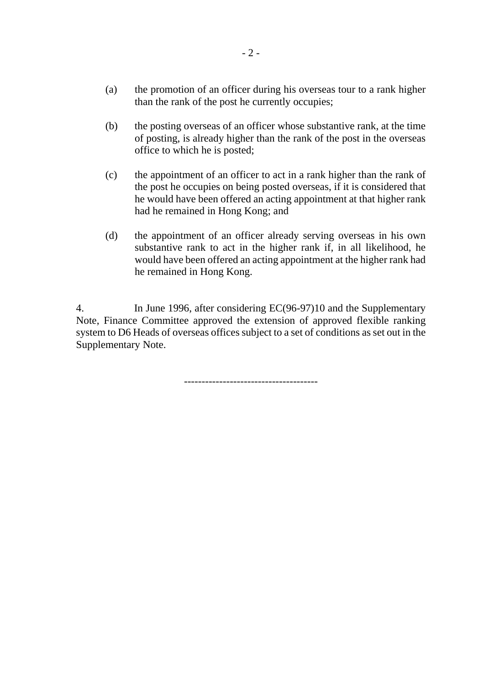- (a) the promotion of an officer during his overseas tour to a rank higher than the rank of the post he currently occupies;
- (b) the posting overseas of an officer whose substantive rank, at the time of posting, is already higher than the rank of the post in the overseas office to which he is posted;
- (c) the appointment of an officer to act in a rank higher than the rank of the post he occupies on being posted overseas, if it is considered that he would have been offered an acting appointment at that higher rank had he remained in Hong Kong; and
- (d) the appointment of an officer already serving overseas in his own substantive rank to act in the higher rank if, in all likelihood, he would have been offered an acting appointment at the higher rank had he remained in Hong Kong.

4. In June 1996, after considering EC(96-97)10 and the Supplementary Note, Finance Committee approved the extension of approved flexible ranking system to D6 Heads of overseas offices subject to a set of conditions as set out in the Supplementary Note.

--------------------------------------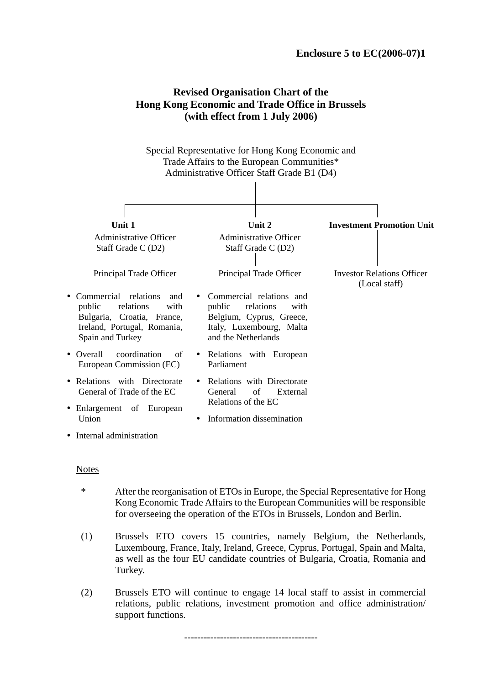**Enclosure 5 to EC(2006-07)1** 

# **Revised Organisation Chart of the Hong Kong Economic and Trade Office in Brussels (with effect from 1 July 2006)**

Special Representative for Hong Kong Economic and Trade Affairs to the European Communities\* Administrative Officer Staff Grade B1 (D4)



• Internal administration

#### **Notes**

- \* After the reorganisation of ETOs in Europe, the Special Representative for Hong Kong Economic Trade Affairs to the European Communities will be responsible for overseeing the operation of the ETOs in Brussels, London and Berlin.
- (1) Brussels ETO covers 15 countries, namely Belgium, the Netherlands, Luxembourg, France, Italy, Ireland, Greece, Cyprus, Portugal, Spain and Malta, as well as the four EU candidate countries of Bulgaria, Croatia, Romania and Turkey.
- (2) Brussels ETO will continue to engage 14 local staff to assist in commercial relations, public relations, investment promotion and office administration/ support functions.

-----------------------------------------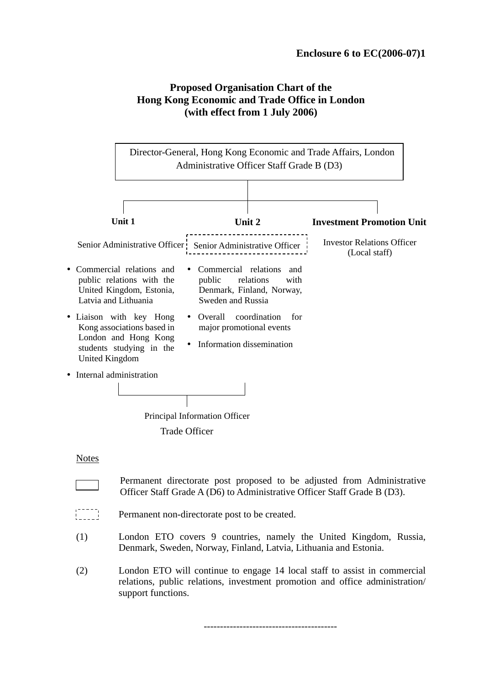



-----------------------------------------